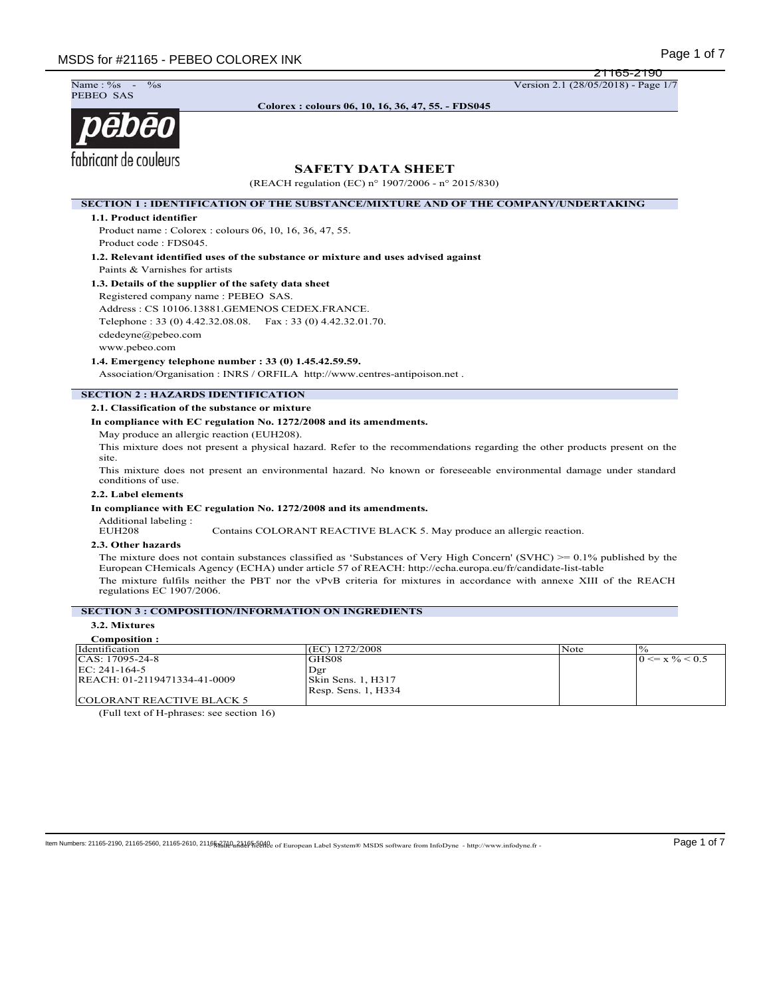21165-2190



**Colorex : colours 06, 10, 16, 36, 47, 55. - FDS045**

# pebeo fabricant de couleurs

# **SAFETY DATA SHEET**

(REACH regulation (EC) n° 1907/2006 - n° 2015/830)

**SECTION 1 : IDENTIFICATION OF THE SUBSTANCE/MIXTURE AND OF THE COMPANY/UNDERTAKING**

**1.1. Product identifier**

Product name : Colorex : colours 06, 10, 16, 36, 47, 55. Product code : FDS045.

**1.2. Relevant identified uses of the substance or mixture and uses advised against** Paints & Varnishes for artists

#### **1.3. Details of the supplier of the safety data sheet**

Registered company name : PEBEO SAS. Address : CS 10106.13881.GEMENOS CEDEX.FRANCE. Telephone : 33 (0) 4.42.32.08.08. Fax : 33 (0) 4.42.32.01.70. cdedeyne@pebeo.com www.pebeo.com

**1.4. Emergency telephone number : 33 (0) 1.45.42.59.59.**

Association/Organisation : INRS / ORFILA http://www.centres-antipoison.net .

### **SECTION 2 : HAZARDS IDENTIFICATION**

#### **2.1. Classification of the substance or mixture**

**In compliance with EC regulation No. 1272/2008 and its amendments.**

May produce an allergic reaction (EUH208).

This mixture does not present a physical hazard. Refer to the recommendations regarding the other products present on the site.

This mixture does not present an environmental hazard. No known or foreseeable environmental damage under standard conditions of use.

#### **2.2. Label elements**

#### **In compliance with EC regulation No. 1272/2008 and its amendments.**

Additional labeling :

Contains COLORANT REACTIVE BLACK 5. May produce an allergic reaction.

# **2.3. Other hazards**

The mixture does not contain substances classified as 'Substances of Very High Concern' (SVHC) >= 0.1% published by the European CHemicals Agency (ECHA) under article 57 of REACH: http://echa.europa.eu/fr/candidate-list-table The mixture fulfils neither the PBT nor the vPvB criteria for mixtures in accordance with annexe XIII of the REACH regulations EC 1907/2006.

#### **SECTION 3 : COMPOSITION/INFORMATION ON INGREDIENTS**

## **3.2. Mixtures**

| Composition :                |                       |      |                             |
|------------------------------|-----------------------|------|-----------------------------|
| l Identification             | (EC) 1272/2008        | Note | $^{10}$                     |
| CAS: 17095-24-8              | IGHS08                |      | $0 \le x \frac{9}{6} < 0.5$ |
| EC: 241-164-5                | Dgr                   |      |                             |
| REACH: 01-2119471334-41-0009 | Skin Sens. 1, H317    |      |                             |
|                              | [Resp. Sens. 1, H334] |      |                             |
| COLORANT REACTIVE BLACK 5    |                       |      |                             |

(Full text of H-phrases: see section 16)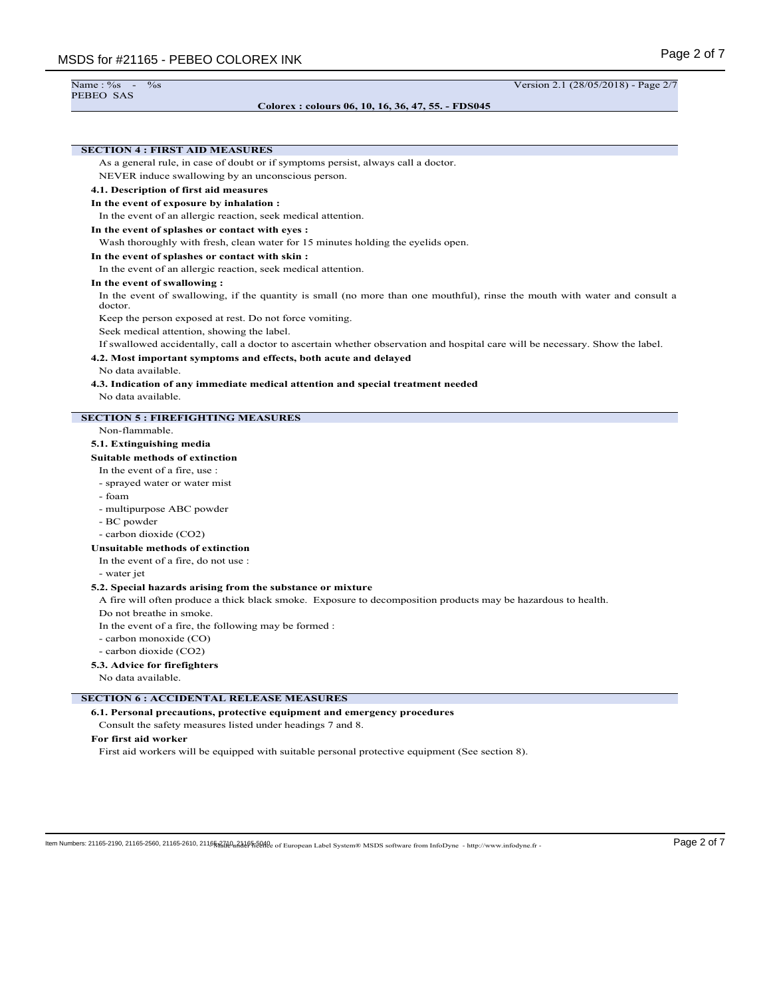#### **Colorex : colours 06, 10, 16, 36, 47, 55. - FDS045**

Name : %s - %s Version 2.1 (28/05/2018) - Page 2/7

# **SECTION 4 : FIRST AID MEASURES** As a general rule, in case of doubt or if symptoms persist, always call a doctor. NEVER induce swallowing by an unconscious person. **4.1. Description of first aid measures In the event of exposure by inhalation :** In the event of an allergic reaction, seek medical attention. **In the event of splashes or contact with eyes :** Wash thoroughly with fresh, clean water for 15 minutes holding the eyelids open. **In the event of splashes or contact with skin :** In the event of an allergic reaction, seek medical attention. **In the event of swallowing :** In the event of swallowing, if the quantity is small (no more than one mouthful), rinse the mouth with water and consult a doctor. Keep the person exposed at rest. Do not force vomiting. Seek medical attention, showing the label. If swallowed accidentally, call a doctor to ascertain whether observation and hospital care will be necessary. Show the label. **4.2. Most important symptoms and effects, both acute and delayed** No data available. **4.3. Indication of any immediate medical attention and special treatment needed** No data available. **SECTION 5 : FIREFIGHTING MEASURES** Non-flammable. **5.1. Extinguishing media Suitable methods of extinction** In the event of a fire, use : - sprayed water or water mist - foam - multipurpose ABC powder - BC powder - carbon dioxide (CO2) **Unsuitable methods of extinction** In the event of a fire, do not use : - water jet **5.2. Special hazards arising from the substance or mixture** A fire will often produce a thick black smoke. Exposure to decomposition products may be hazardous to health. Do not breathe in smoke. In the event of a fire, the following may be formed : - carbon monoxide (CO) - carbon dioxide (CO2) **5.3. Advice for firefighters** No data available. **SECTION 6 : ACCIDENTAL RELEASE MEASURES 6.1. Personal precautions, protective equipment and emergency procedures** Consult the safety measures listed under headings 7 and 8. **For first aid worker** First aid workers will be equipped with suitable personal protective equipment (See section 8).

ltem Numbers: 21165-2190, 21165-2560, 21165-2610, 21165x2d0u2465tbeed under European Label System® MSDS software from InfoDyne - http://www.infodyne.fr - Page 2 of 7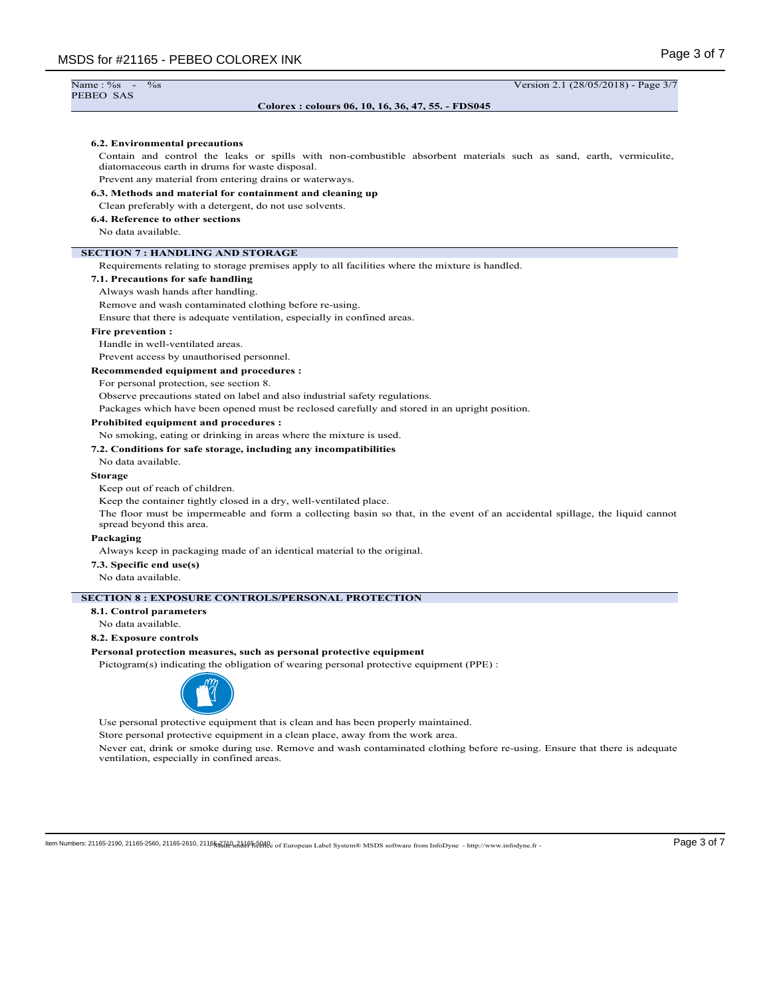| Name: $\frac{6}{5}$<br>$\%$ s                                                                                                                                         | Version 2.1 (28/05/2018) - Page 3/7 |
|-----------------------------------------------------------------------------------------------------------------------------------------------------------------------|-------------------------------------|
| PEBEO SAS                                                                                                                                                             |                                     |
| Colorex: colours 06, 10, 16, 36, 47, 55. - FDS045                                                                                                                     |                                     |
|                                                                                                                                                                       |                                     |
|                                                                                                                                                                       |                                     |
| 6.2. Environmental precautions                                                                                                                                        |                                     |
| Contain and control the leaks or spills with non-combustible absorbent materials such as sand, earth, vermiculite,<br>diatomaceous earth in drums for waste disposal. |                                     |
| Prevent any material from entering drains or waterways.                                                                                                               |                                     |
| 6.3. Methods and material for containment and cleaning up                                                                                                             |                                     |
| Clean preferably with a detergent, do not use solvents.                                                                                                               |                                     |
| 6.4. Reference to other sections                                                                                                                                      |                                     |
| No data available.                                                                                                                                                    |                                     |
| <b>SECTION 7: HANDLING AND STORAGE</b>                                                                                                                                |                                     |
| Requirements relating to storage premises apply to all facilities where the mixture is handled.                                                                       |                                     |
| 7.1. Precautions for safe handling                                                                                                                                    |                                     |
| Always wash hands after handling.                                                                                                                                     |                                     |
| Remove and wash contaminated clothing before re-using.                                                                                                                |                                     |
| Ensure that there is adequate ventilation, especially in confined areas.                                                                                              |                                     |
| <b>Fire prevention:</b>                                                                                                                                               |                                     |
| Handle in well-ventilated areas.                                                                                                                                      |                                     |
| Prevent access by unauthorised personnel.                                                                                                                             |                                     |
| <b>Recommended equipment and procedures:</b>                                                                                                                          |                                     |
| For personal protection, see section 8.                                                                                                                               |                                     |
| Observe precautions stated on label and also industrial safety regulations.                                                                                           |                                     |
| Packages which have been opened must be reclosed carefully and stored in an upright position.                                                                         |                                     |
| Prohibited equipment and procedures :                                                                                                                                 |                                     |
| No smoking, eating or drinking in areas where the mixture is used.                                                                                                    |                                     |
| 7.2. Conditions for safe storage, including any incompatibilities                                                                                                     |                                     |
| No data available.                                                                                                                                                    |                                     |
| <b>Storage</b>                                                                                                                                                        |                                     |
| Keep out of reach of children.                                                                                                                                        |                                     |

Keep the container tightly closed in a dry, well-ventilated place.

The floor must be impermeable and form a collecting basin so that, in the event of an accidental spillage, the liquid cannot spread beyond this area.

# **Packaging**

Always keep in packaging made of an identical material to the original.

**7.3. Specific end use(s)**

No data available.

#### **SECTION 8 : EXPOSURE CONTROLS/PERSONAL PROTECTION**

**8.1. Control parameters**

No data available.

# **8.2. Exposure controls**

#### **Personal protection measures, such as personal protective equipment**

Pictogram(s) indicating the obligation of wearing personal protective equipment (PPE) :



Use personal protective equipment that is clean and has been properly maintained.

Store personal protective equipment in a clean place, away from the work area.

Never eat, drink or smoke during use. Remove and wash contaminated clothing before re-using. Ensure that there is adequate ventilation, especially in confined areas.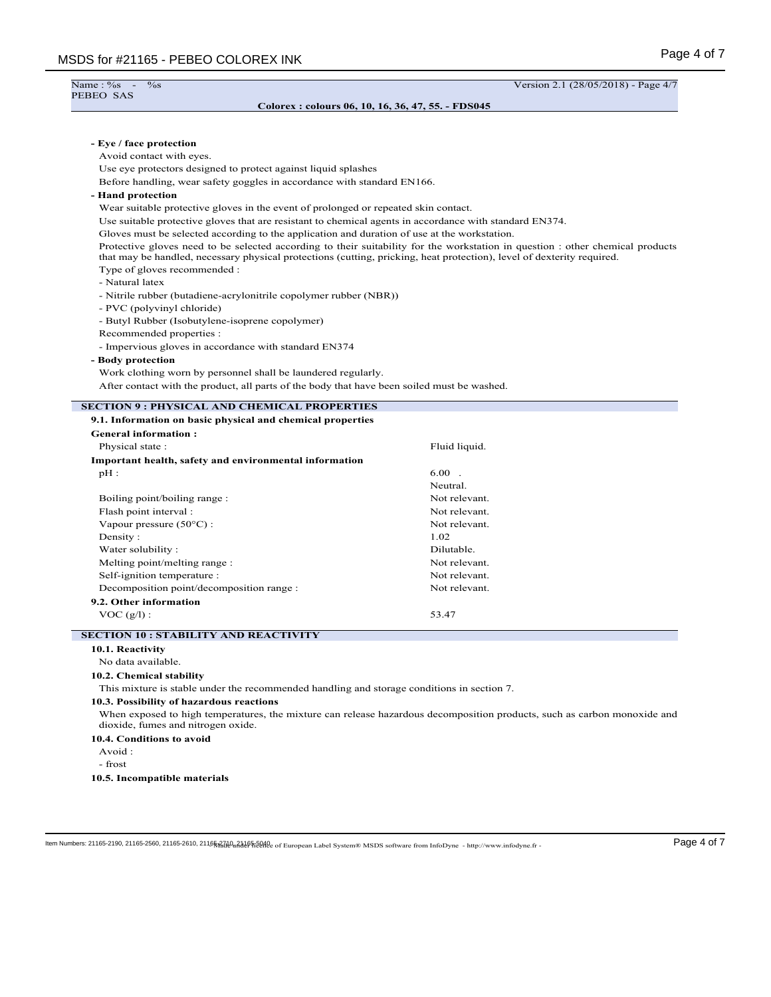Name : %<br>PEBEO SAS

Name : %s - %s Version 2.1 (28/05/2018) - Page 4/7

#### **Colorex : colours 06, 10, 16, 36, 47, 55. - FDS045**

| Before handling, wear safety goggles in accordance with standard EN166.                                                                                                                                                                                  |  |  |  |  |
|----------------------------------------------------------------------------------------------------------------------------------------------------------------------------------------------------------------------------------------------------------|--|--|--|--|
|                                                                                                                                                                                                                                                          |  |  |  |  |
| Wear suitable protective gloves in the event of prolonged or repeated skin contact.                                                                                                                                                                      |  |  |  |  |
| Use suitable protective gloves that are resistant to chemical agents in accordance with standard EN374.                                                                                                                                                  |  |  |  |  |
| Gloves must be selected according to the application and duration of use at the workstation.                                                                                                                                                             |  |  |  |  |
| Protective gloves need to be selected according to their suitability for the workstation in question : other chemical products<br>that may be handled, necessary physical protections (cutting, pricking, heat protection), level of dexterity required. |  |  |  |  |
|                                                                                                                                                                                                                                                          |  |  |  |  |
| - Natural latex<br>- Nitrile rubber (butadiene-acrylonitrile copolymer rubber (NBR))                                                                                                                                                                     |  |  |  |  |
|                                                                                                                                                                                                                                                          |  |  |  |  |
|                                                                                                                                                                                                                                                          |  |  |  |  |
|                                                                                                                                                                                                                                                          |  |  |  |  |
|                                                                                                                                                                                                                                                          |  |  |  |  |
|                                                                                                                                                                                                                                                          |  |  |  |  |
|                                                                                                                                                                                                                                                          |  |  |  |  |
| Work clothing worn by personnel shall be laundered regularly.                                                                                                                                                                                            |  |  |  |  |
| After contact with the product, all parts of the body that have been soiled must be washed.                                                                                                                                                              |  |  |  |  |
|                                                                                                                                                                                                                                                          |  |  |  |  |
|                                                                                                                                                                                                                                                          |  |  |  |  |
|                                                                                                                                                                                                                                                          |  |  |  |  |
| Fluid liquid.                                                                                                                                                                                                                                            |  |  |  |  |
|                                                                                                                                                                                                                                                          |  |  |  |  |
| $6.00$ .                                                                                                                                                                                                                                                 |  |  |  |  |
| Neutral.                                                                                                                                                                                                                                                 |  |  |  |  |
| Not relevant.                                                                                                                                                                                                                                            |  |  |  |  |
| Not relevant.                                                                                                                                                                                                                                            |  |  |  |  |
| Not relevant.                                                                                                                                                                                                                                            |  |  |  |  |
| 1.02                                                                                                                                                                                                                                                     |  |  |  |  |
| Dilutable.                                                                                                                                                                                                                                               |  |  |  |  |
| Not relevant.                                                                                                                                                                                                                                            |  |  |  |  |
| Not relevant.                                                                                                                                                                                                                                            |  |  |  |  |
| Not relevant.                                                                                                                                                                                                                                            |  |  |  |  |
|                                                                                                                                                                                                                                                          |  |  |  |  |
| 53.47                                                                                                                                                                                                                                                    |  |  |  |  |
|                                                                                                                                                                                                                                                          |  |  |  |  |
|                                                                                                                                                                                                                                                          |  |  |  |  |
|                                                                                                                                                                                                                                                          |  |  |  |  |
|                                                                                                                                                                                                                                                          |  |  |  |  |
| This mixture is stable under the recommended handling and storage conditions in section 7.                                                                                                                                                               |  |  |  |  |
|                                                                                                                                                                                                                                                          |  |  |  |  |
|                                                                                                                                                                                                                                                          |  |  |  |  |
| When exposed to high temperatures, the mixture can release hazardous decomposition products, such as carbon monoxide and                                                                                                                                 |  |  |  |  |
|                                                                                                                                                                                                                                                          |  |  |  |  |
|                                                                                                                                                                                                                                                          |  |  |  |  |
|                                                                                                                                                                                                                                                          |  |  |  |  |
|                                                                                                                                                                                                                                                          |  |  |  |  |

 $\textbf{Item Numbers: } 21165\text{-}2190, 21165\text{-}2560, 21165\text{-}2610, 21165\text{-}2610, 21165\text{-}2610, 21165\text{-}2610, 21165\text{-}2610, 21165\text{-}2610, 21165\text{-}2610, 21165\text{-}2610, 21165\text{-}2610, 21165\text{-}2610, 21165\text{-}2610, 21165\text{-}2610, 2$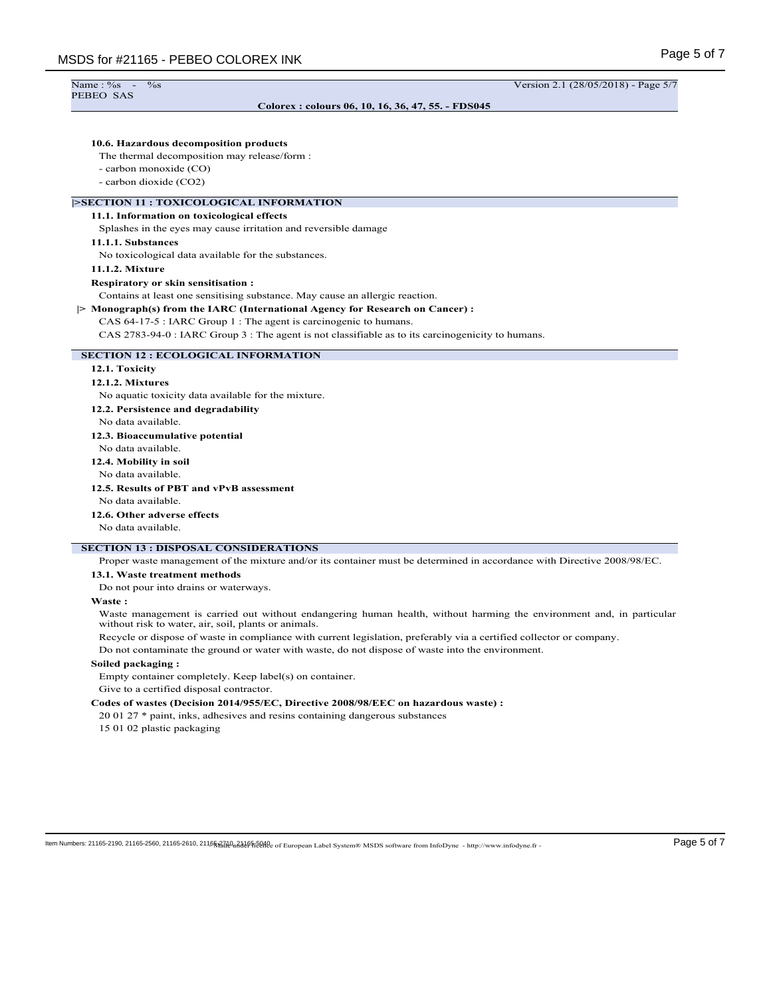PEBEO SAS

**Colorex : colours 06, 10, 16, 36, 47, 55. - FDS045**

Name : %s - %s Version 2.1 (28/05/2018) - Page 5/7

#### **10.6. Hazardous decomposition products**

The thermal decomposition may release/form :

- carbon monoxide (CO)
- carbon dioxide (CO2)

#### **|>SECTION 11 : TOXICOLOGICAL INFORMATION**

#### **11.1. Information on toxicological effects**

Splashes in the eyes may cause irritation and reversible damage

#### **11.1.1. Substances**

No toxicological data available for the substances.

#### **11.1.2. Mixture**

#### **Respiratory or skin sensitisation :**

Contains at least one sensitising substance. May cause an allergic reaction.

**|> Monograph(s) from the IARC (International Agency for Research on Cancer) :**

#### CAS 64-17-5 : IARC Group 1 : The agent is carcinogenic to humans.

CAS 2783-94-0 : IARC Group 3 : The agent is not classifiable as to its carcinogenicity to humans.

#### **SECTION 12 : ECOLOGICAL INFORMATION**

#### **12.1. Toxicity**

#### **12.1.2. Mixtures**

No aquatic toxicity data available for the mixture.

**12.2. Persistence and degradability**

- No data available.
- **12.3. Bioaccumulative potential**
- No data available.

**12.4. Mobility in soil**

No data available.

# **12.5. Results of PBT and vPvB assessment**

No data available.

**12.6. Other adverse effects**

No data available.

## **SECTION 13 : DISPOSAL CONSIDERATIONS**

Proper waste management of the mixture and/or its container must be determined in accordance with Directive 2008/98/EC.

#### **13.1. Waste treatment methods**

Do not pour into drains or waterways.

#### **Waste :**

Waste management is carried out without endangering human health, without harming the environment and, in particular without risk to water, air, soil, plants or animals.

Recycle or dispose of waste in compliance with current legislation, preferably via a certified collector or company.

Do not contaminate the ground or water with waste, do not dispose of waste into the environment.

#### **Soiled packaging :**

Empty container completely. Keep label(s) on container.

Give to a certified disposal contractor.

#### **Codes of wastes (Decision 2014/955/EC, Directive 2008/98/EEC on hazardous waste) :**

20 01 27 \* paint, inks, adhesives and resins containing dangerous substances

15 01 02 plastic packaging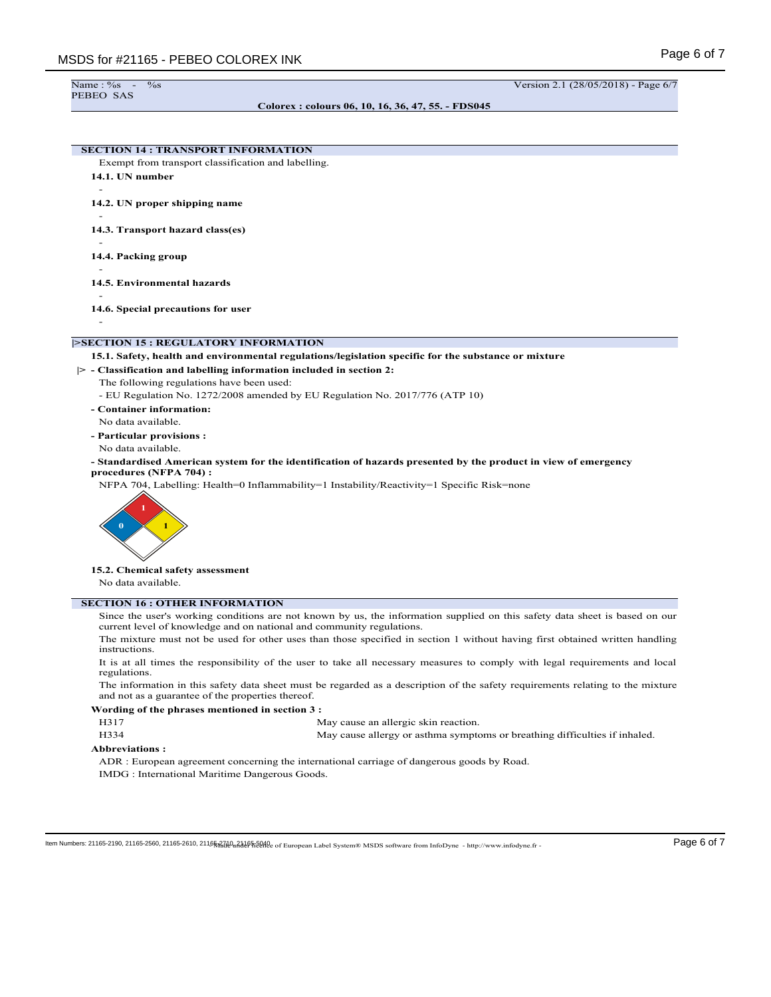#### **Colorex : colours 06, 10, 16, 36, 47, 55. - FDS045**

# **SECTION 14 : TRANSPORT INFORMATION**

Exempt from transport classification and labelling.

**14.1. UN number**

-

-

-

-

**14.2. UN proper shipping name**

**14.3. Transport hazard class(es)**

**14.4. Packing group**

-

**14.5. Environmental hazards** -

**14.6. Special precautions for user**

#### **|>SECTION 15 : REGULATORY INFORMATION**

#### **15.1. Safety, health and environmental regulations/legislation specific for the substance or mixture**

**|> - Classification and labelling information included in section 2:**

- The following regulations have been used:
	- EU Regulation No. 1272/2008 amended by EU Regulation No. 2017/776 (ATP 10)
- **Container information:**
- No data available. **- Particular provisions :**
- No data available.
- **Standardised American system for the identification of hazards presented by the product in view of emergency procedures (NFPA 704) :**

NFPA 704, Labelling: Health=0 Inflammability=1 Instability/Reactivity=1 Specific Risk=none



**15.2. Chemical safety assessment**

No data available.

#### **SECTION 16 : OTHER INFORMATION**

Since the user's working conditions are not known by us, the information supplied on this safety data sheet is based on our current level of knowledge and on national and community regulations.

The mixture must not be used for other uses than those specified in section 1 without having first obtained written handling instructions.

It is at all times the responsibility of the user to take all necessary measures to comply with legal requirements and local regulations.

The information in this safety data sheet must be regarded as a description of the safety requirements relating to the mixture and not as a guarantee of the properties thereof.

#### **Wording of the phrases mentioned in section 3 :**

H317 May cause an allergic skin reaction.

| H334 | May cause allergy or asthma symptoms or breathing difficulties if inhaled. |  |
|------|----------------------------------------------------------------------------|--|
|------|----------------------------------------------------------------------------|--|

#### **Abbreviations :**

ADR : European agreement concerning the international carriage of dangerous goods by Road. IMDG : International Maritime Dangerous Goods.